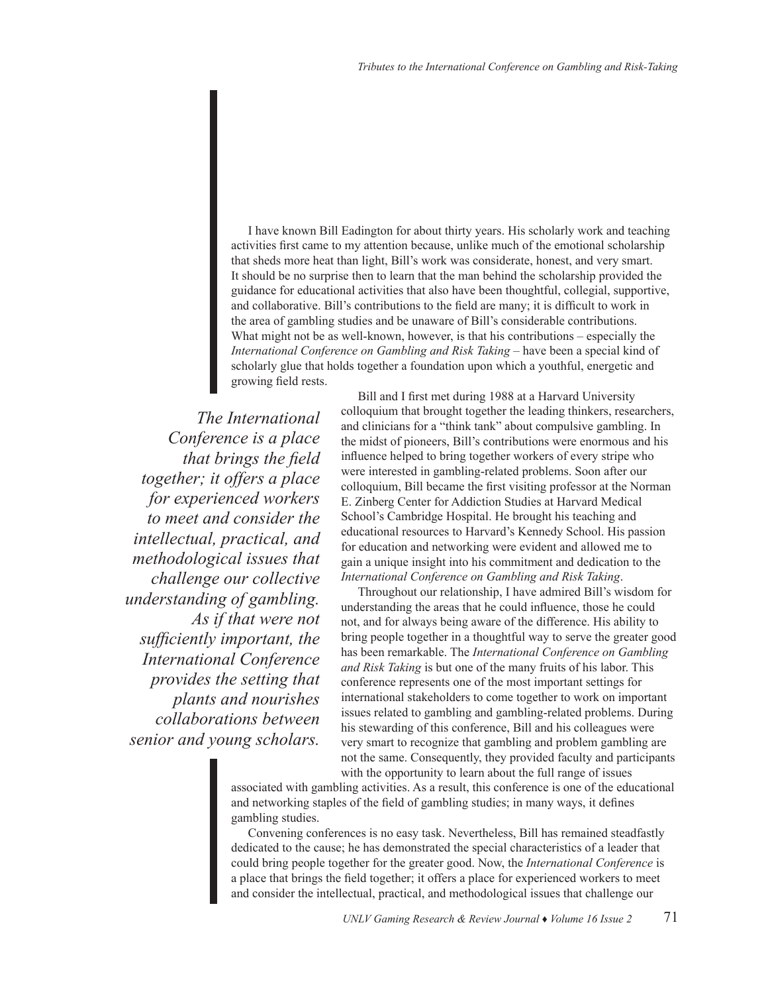I have known Bill Eadington for about thirty years. His scholarly work and teaching activities first came to my attention because, unlike much of the emotional scholarship that sheds more heat than light, Bill's work was considerate, honest, and very smart. It should be no surprise then to learn that the man behind the scholarship provided the guidance for educational activities that also have been thoughtful, collegial, supportive, and collaborative. Bill's contributions to the field are many; it is difficult to work in the area of gambling studies and be unaware of Bill's considerable contributions. What might not be as well-known, however, is that his contributions – especially the *International Conference on Gambling and Risk Taking* – have been a special kind of scholarly glue that holds together a foundation upon which a youthful, energetic and growing field rests.

*The International Conference is a place that brings the field together; it offers a place for experienced workers to meet and consider the intellectual, practical, and methodological issues that challenge our collective understanding of gambling. As if that were not sufficiently important, the International Conference provides the setting that plants and nourishes collaborations between senior and young scholars.*

Bill and I first met during 1988 at a Harvard University colloquium that brought together the leading thinkers, researchers, and clinicians for a "think tank" about compulsive gambling. In the midst of pioneers, Bill's contributions were enormous and his influence helped to bring together workers of every stripe who were interested in gambling-related problems. Soon after our colloquium, Bill became the first visiting professor at the Norman E. Zinberg Center for Addiction Studies at Harvard Medical School's Cambridge Hospital. He brought his teaching and educational resources to Harvard's Kennedy School. His passion for education and networking were evident and allowed me to gain a unique insight into his commitment and dedication to the *International Conference on Gambling and Risk Taking*.

Throughout our relationship, I have admired Bill's wisdom for understanding the areas that he could influence, those he could not, and for always being aware of the difference. His ability to bring people together in a thoughtful way to serve the greater good has been remarkable. The *International Conference on Gambling and Risk Taking* is but one of the many fruits of his labor. This conference represents one of the most important settings for international stakeholders to come together to work on important issues related to gambling and gambling-related problems. During his stewarding of this conference, Bill and his colleagues were very smart to recognize that gambling and problem gambling are not the same. Consequently, they provided faculty and participants with the opportunity to learn about the full range of issues

associated with gambling activities. As a result, this conference is one of the educational and networking staples of the field of gambling studies; in many ways, it defines gambling studies.

Convening conferences is no easy task. Nevertheless, Bill has remained steadfastly dedicated to the cause; he has demonstrated the special characteristics of a leader that could bring people together for the greater good. Now, the *International Conference* is a place that brings the field together; it offers a place for experienced workers to meet and consider the intellectual, practical, and methodological issues that challenge our